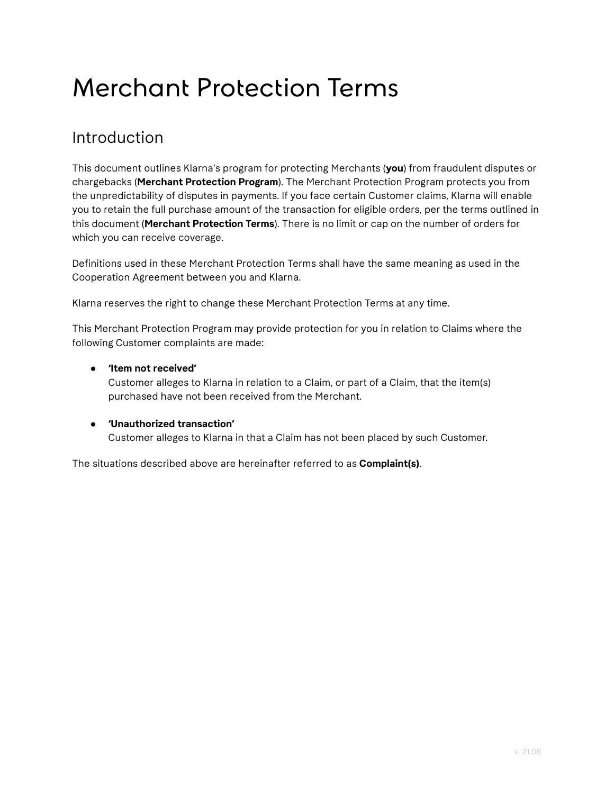# Merchant Protection Terms

#### Introduction

This document outlines Klarna's program for protecting Merchants (**you**) from fraudulent disputes or chargebacks (**Merchant Protection Program**). The Merchant Protection Program protects you from the unpredictability of disputes in payments. If you face certain Customer claims, Klarna will enable you to retain the full purchase amount of the transaction for eligible orders, per the terms outlined in this document (**Merchant Protection Terms**). There is no limit or cap on the number of orders for which you can receive coverage.

Definitions used in these Merchant Protection Terms shall have the same meaning as used in the Cooperation Agreement between you and Klarna.

Klarna reserves the right to change these Merchant Protection Terms at any time.

This Merchant Protection Program may provide protection for you in relation to Claims where the following Customer complaints are made:

#### ● **'Item not received'**

Customer alleges to Klarna in relation to a Claim, or part of a Claim, that the item(s) purchased have not been received from the Merchant.

#### ● **'Unauthorized transaction'**

Customer alleges to Klarna in that a Claim has not been placed by such Customer.

The situations described above are hereinafter referred to as **Complaint(s)**.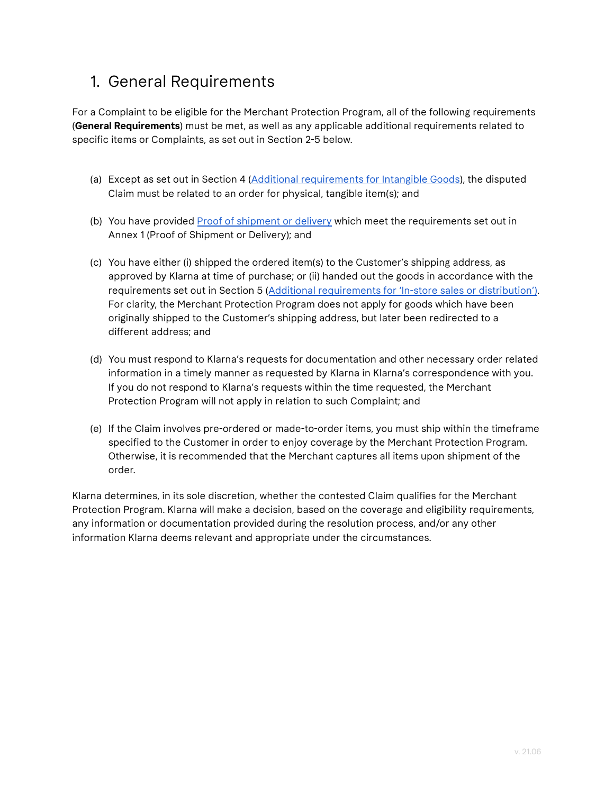#### <span id="page-1-0"></span>1. General Requirements

For a Complaint to be eligible for the Merchant Protection Program, all of the following requirements (**General Requirements**) must be met, as well as any applicable additional requirements related to specific items or Complaints, as set out in Section 2-5 below.

- (a) Except as set out in Section 4 (Additional [requirements](#page-2-0) for Intangible Goods), the disputed Claim must be related to an order for physical, tangible item(s); and
- (b) You have provided Proof of shipment or delivery which meet the [requirements](#page-4-0) set out in Annex 1 (Proof of [Shipment](#page-4-0) or Delivery); and
- (c) You have either (i) shipped the ordered item(s) to the Customer's shipping address, as approved by Klarna at time of purchase; or (ii) handed out the goods in accordance with the requirements set out in Section 5 (Additional [requirements](#page-3-0) for 'In-store sales or distribution'). For clarity, the Merchant Protection Program does not apply for goods which have been originally shipped to the Customer's shipping address, but later been redirected to a different address; and
- (d) You must respond to Klarna's requests for documentation and other necessary order related information in a timely manner as requested by Klarna in Klarna's correspondence with you. If you do not respond to Klarna's requests within the time requested, the Merchant Protection Program will not apply in relation to such Complaint; and
- (e) If the Claim involves pre-ordered or made-to-order items, you must ship within the timeframe specified to the Customer in order to enjoy coverage by the Merchant Protection Program. Otherwise, it is recommended that the Merchant captures all items upon shipment of the order.

Klarna determines, in its sole discretion, whether the contested Claim qualifies for the Merchant Protection Program. Klarna will make a decision, based on the coverage and eligibility requirements, any information or documentation provided during the resolution process, and/or any other information Klarna deems relevant and appropriate under the circumstances.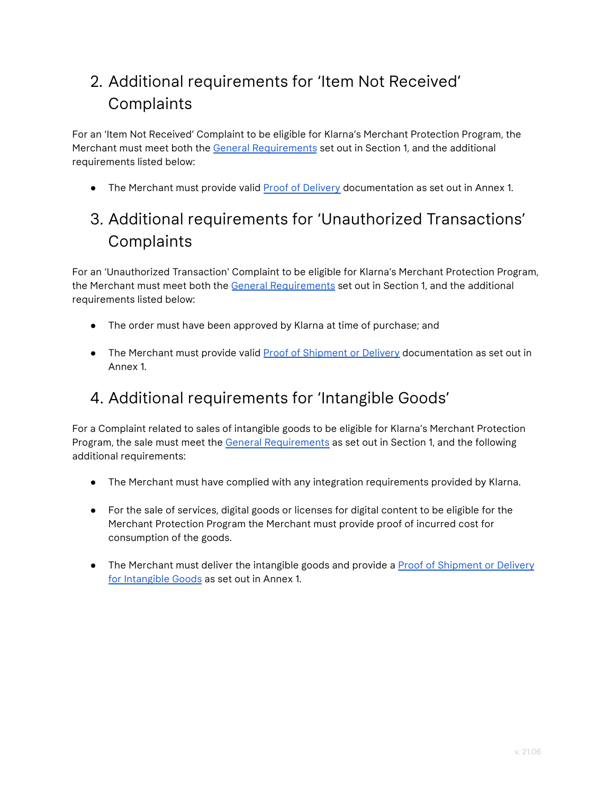### 2. Additional requirements for 'Item Not Received' **Complaints**

For an 'Item Not Received' Complaint to be eligible for Klarna's Merchant Protection Program, the Merchant must meet both the General [Requirements](#page-1-0) set out in Section 1, and the additional requirements listed below:

• The Merchant must provide valid Proof of [Delivery](#page-4-0) documentation as set out in Annex 1.

### 3. Additional requirements for 'Unauthorized Transactions' Complaints

For an 'Unauthorized Transaction' Complaint to be eligible for Klarna's Merchant Protection Program, the Merchant must meet both the General Requirements set out in Section 1, and the additional requirements listed below:

- The order must have been approved by Klarna at time of purchase; and
- The Merchant must provide valid Proof of [Shipment](#page-4-0) or Delivery documentation as set out in Annex 1.

#### <span id="page-2-0"></span>4. Additional requirements for 'Intangible Goods'

For a Complaint related to sales of intangible goods to be eligible for Klarna's Merchant Protection Program, the sale must meet th[e](https://www.paypal.com/ca/webapps/mpp/ua/useragreement-full?locale.x=en_CA#basic-requirements) General [Requirements](#page-1-0) as set out in Section 1, and the following additional requirements:

- The Merchant must have complied with any integration requirements provided by Klarna.
- For the sale of services, digital goods or licenses for digital content to be eligible for the Merchant Protection Program the Merchant must provide proof of incurred cost for consumption of the goods.
- The Merchant must deliver the intangible goods and provide a Proof of [Shipment](#page-4-0) or Delivery for [Intangible](#page-4-0) Goods as set out in Annex 1.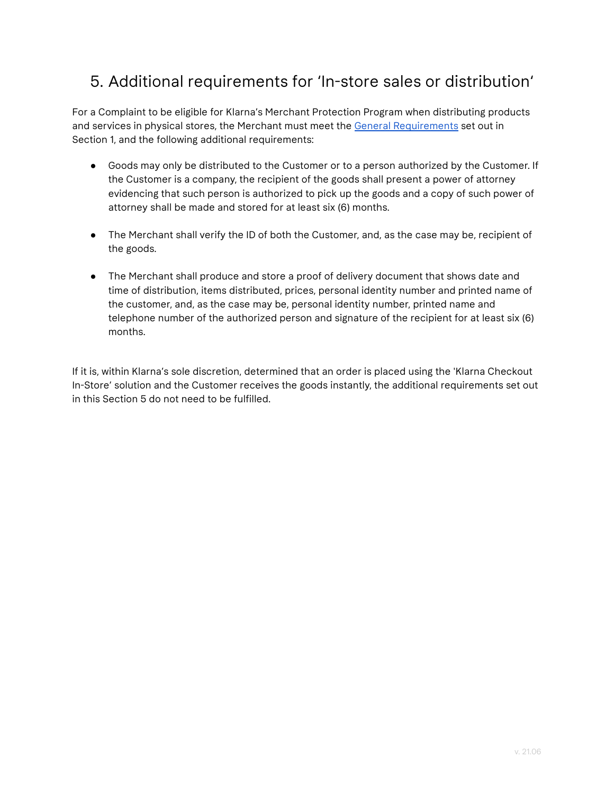#### <span id="page-3-0"></span>5. Additional requirements for 'In-store sales or distribution'

For a Complaint to be eligible for Klarna's Merchant Protection Program when distributing products and services in physical stores, the Merchant must meet the [G](https://www.paypal.com/ca/webapps/mpp/ua/useragreement-full?locale.x=en_CA#basic-requirements)eneral [Requirements](#page-1-0) set out in Section 1, and the following additional requirements:

- Goods may only be distributed to the Customer or to a person authorized by the Customer. If the Customer is a company, the recipient of the goods shall present a power of attorney evidencing that such person is authorized to pick up the goods and a copy of such power of attorney shall be made and stored for at least six (6) months.
- The Merchant shall verify the ID of both the Customer, and, as the case may be, recipient of the goods.
- The Merchant shall produce and store a proof of delivery document that shows date and time of distribution, items distributed, prices, personal identity number and printed name of the customer, and, as the case may be, personal identity number, printed name and telephone number of the authorized person and signature of the recipient for at least six (6) months.

If it is, within Klarna's sole discretion, determined that an order is placed using the 'Klarna Checkout In-Store' solution and the Customer receives the goods instantly, the additional requirements set out in this Section 5 do not need to be fulfilled.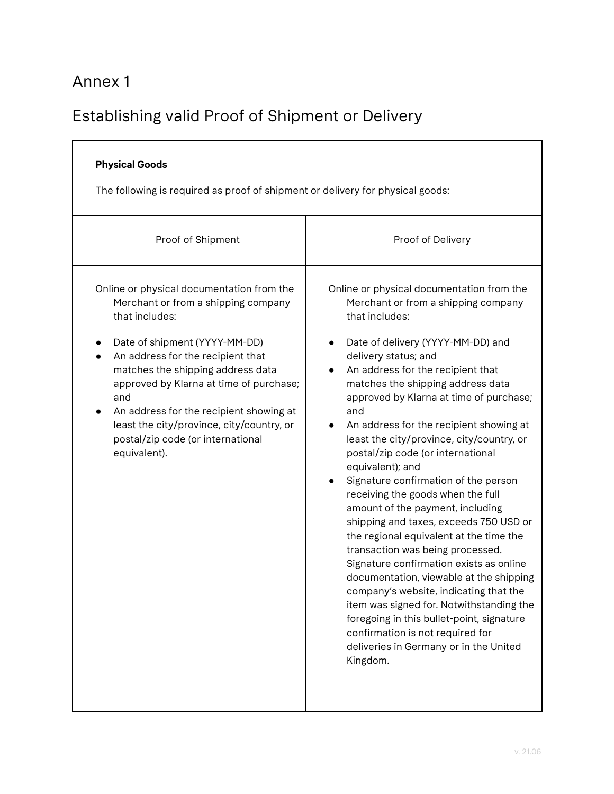### <span id="page-4-0"></span>Annex 1

## Establishing valid Proof of Shipment or Delivery

| <b>Physical Goods</b><br>The following is required as proof of shipment or delivery for physical goods:                                                                                                                                                                                                                                                                                                      |                                                                                                                                                                                                                                                                                                                                                                                                                                                                                                                                                                                                                                                                                                                                                                                                                                                                                                                                                                                                           |
|--------------------------------------------------------------------------------------------------------------------------------------------------------------------------------------------------------------------------------------------------------------------------------------------------------------------------------------------------------------------------------------------------------------|-----------------------------------------------------------------------------------------------------------------------------------------------------------------------------------------------------------------------------------------------------------------------------------------------------------------------------------------------------------------------------------------------------------------------------------------------------------------------------------------------------------------------------------------------------------------------------------------------------------------------------------------------------------------------------------------------------------------------------------------------------------------------------------------------------------------------------------------------------------------------------------------------------------------------------------------------------------------------------------------------------------|
| Proof of Shipment                                                                                                                                                                                                                                                                                                                                                                                            | Proof of Delivery                                                                                                                                                                                                                                                                                                                                                                                                                                                                                                                                                                                                                                                                                                                                                                                                                                                                                                                                                                                         |
| Online or physical documentation from the<br>Merchant or from a shipping company<br>that includes:<br>Date of shipment (YYYY-MM-DD)<br>An address for the recipient that<br>matches the shipping address data<br>approved by Klarna at time of purchase;<br>and<br>An address for the recipient showing at<br>least the city/province, city/country, or<br>postal/zip code (or international<br>equivalent). | Online or physical documentation from the<br>Merchant or from a shipping company<br>that includes:<br>Date of delivery (YYYY-MM-DD) and<br>delivery status; and<br>An address for the recipient that<br>matches the shipping address data<br>approved by Klarna at time of purchase;<br>and<br>An address for the recipient showing at<br>least the city/province, city/country, or<br>postal/zip code (or international<br>equivalent); and<br>Signature confirmation of the person<br>receiving the goods when the full<br>amount of the payment, including<br>shipping and taxes, exceeds 750 USD or<br>the regional equivalent at the time the<br>transaction was being processed.<br>Signature confirmation exists as online<br>documentation, viewable at the shipping<br>company's website, indicating that the<br>item was signed for. Notwithstanding the<br>foregoing in this bullet-point, signature<br>confirmation is not required for<br>deliveries in Germany or in the United<br>Kingdom. |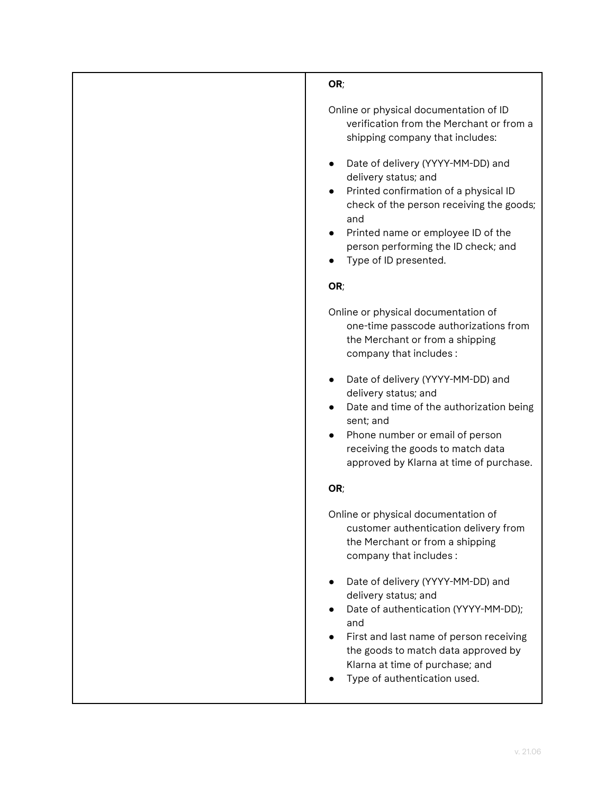| OR;                                                                                                                                                                                                                                                           |
|---------------------------------------------------------------------------------------------------------------------------------------------------------------------------------------------------------------------------------------------------------------|
| Online or physical documentation of ID<br>verification from the Merchant or from a<br>shipping company that includes:                                                                                                                                         |
| Date of delivery (YYYY-MM-DD) and<br>delivery status; and<br>Printed confirmation of a physical ID<br>check of the person receiving the goods;<br>and<br>Printed name or employee ID of the<br>person performing the ID check; and<br>Type of ID presented.   |
| OR;                                                                                                                                                                                                                                                           |
| Online or physical documentation of<br>one-time passcode authorizations from<br>the Merchant or from a shipping<br>company that includes:                                                                                                                     |
| Date of delivery (YYYY-MM-DD) and<br>delivery status; and<br>Date and time of the authorization being<br>sent; and<br>Phone number or email of person<br>receiving the goods to match data<br>approved by Klarna at time of purchase.                         |
| OR;                                                                                                                                                                                                                                                           |
| Online or physical documentation of<br>customer authentication delivery from<br>the Merchant or from a shipping<br>company that includes:                                                                                                                     |
| Date of delivery (YYYY-MM-DD) and<br>delivery status; and<br>Date of authentication (YYYY-MM-DD);<br>and<br>First and last name of person receiving<br>the goods to match data approved by<br>Klarna at time of purchase; and<br>Type of authentication used. |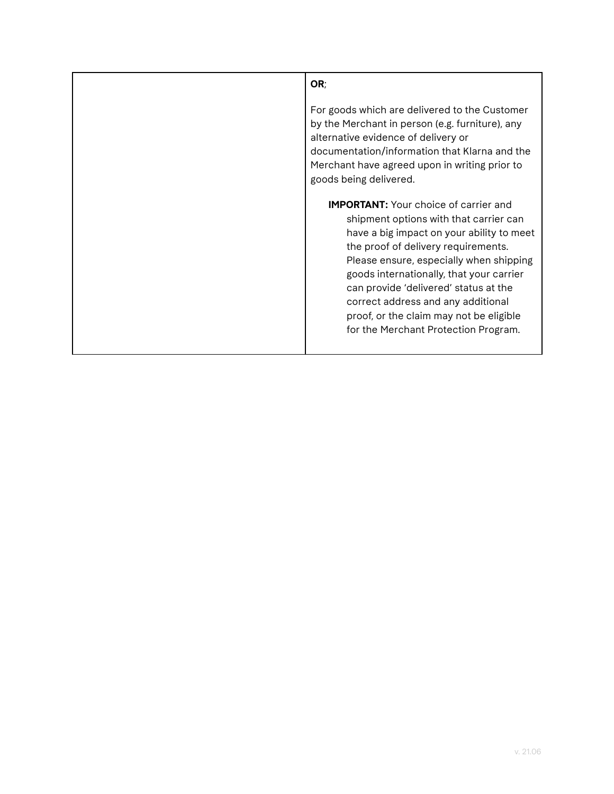| OR;                                                                                                                                                                                                                                                                                                                                                                                                                                 |
|-------------------------------------------------------------------------------------------------------------------------------------------------------------------------------------------------------------------------------------------------------------------------------------------------------------------------------------------------------------------------------------------------------------------------------------|
| For goods which are delivered to the Customer<br>by the Merchant in person (e.g. furniture), any<br>alternative evidence of delivery or<br>documentation/information that Klarna and the<br>Merchant have agreed upon in writing prior to<br>goods being delivered.                                                                                                                                                                 |
| <b>IMPORTANT:</b> Your choice of carrier and<br>shipment options with that carrier can<br>have a big impact on your ability to meet<br>the proof of delivery requirements.<br>Please ensure, especially when shipping<br>goods internationally, that your carrier<br>can provide 'delivered' status at the<br>correct address and any additional<br>proof, or the claim may not be eligible<br>for the Merchant Protection Program. |